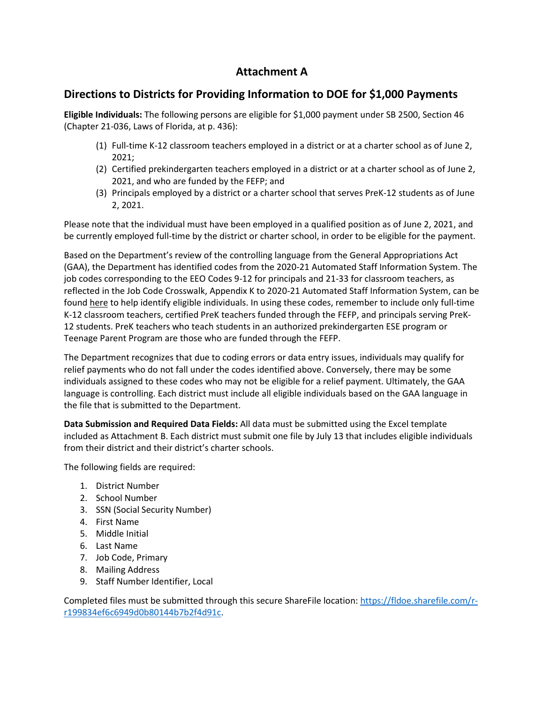# **Attachment A**

## **Directions to Districts for Providing Information to DOE for \$1,000 Payments**

**Eligible Individuals:** The following persons are eligible for \$1,000 payment under SB 2500, Section 46 (Chapter 21-036, Laws of Florida, at p. 436):

- (1) Full-time K-12 classroom teachers employed in a district or at a charter school as of June 2, 2021;
- (2) Certified prekindergarten teachers employed in a district or at a charter school as of June 2, 2021, and who are funded by the FEFP; and
- (3) Principals employed by a district or a charter school that serves PreK-12 students as of June 2, 2021.

Please note that the individual must have been employed in a qualified position as of June 2, 2021, and be currently employed full-time by the district or charter school, in order to be eligible for the payment.

Based on the Department's review of the controlling language from the General Appropriations Act (GAA), the Department has identified codes from the 2020-21 Automated Staff Information System. The job codes corresponding to the EEO Codes 9-12 for principals and 21-33 for classroom teachers, as reflected in the Job Code Crosswalk, Appendix K to 2020-21 Automated Staff Information System, can be found [here](https://www.fldoe.org/core/fileparse.php/19878/urlt/2021-sfappendk.xls) to help identify eligible individuals. In using these codes, remember to include only full-time K-12 classroom teachers, certified PreK teachers funded through the FEFP, and principals serving PreK-12 students. PreK teachers who teach students in an authorized prekindergarten ESE program or Teenage Parent Program are those who are funded through the FEFP.

The Department recognizes that due to coding errors or data entry issues, individuals may qualify for relief payments who do not fall under the codes identified above. Conversely, there may be some individuals assigned to these codes who may not be eligible for a relief payment. Ultimately, the GAA language is controlling. Each district must include all eligible individuals based on the GAA language in the file that is submitted to the Department.

**Data Submission and Required Data Fields:** All data must be submitted using the Excel template included as Attachment B. Each district must submit one file by July 13 that includes eligible individuals from their district and their district's charter schools.

The following fields are required:

- 1. District Number
- 2. School Number
- 3. SSN (Social Security Number)
- 4. First Name
- 5. Middle Initial
- 6. Last Name
- 7. Job Code, Primary
- 8. Mailing Address
- 9. Staff Number Identifier, Local

Completed files must be submitted through this secure ShareFile location: [https://fldoe.sharefile.com/r](https://fldoe.sharefile.com/r-r199834ef6c6949d0b80144b7b2f4d91c)[r199834ef6c6949d0b80144b7b2f4d91c.](https://fldoe.sharefile.com/r-r199834ef6c6949d0b80144b7b2f4d91c)